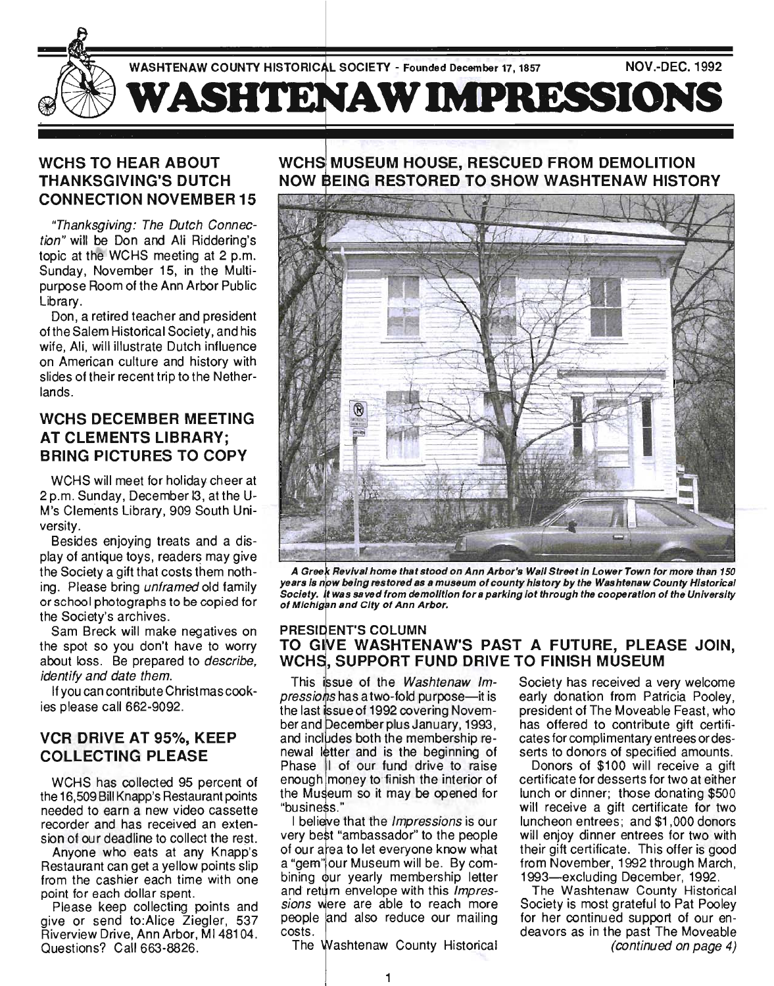

## **WCHS TO HEAR ABOUT THANKSGIVING'S DUTCH CONNECTION NOVEMBER 15**

"Thanksgiving: The Dutch Connection" will be Don and Ali Riddering's topic at the WCHS meeting at 2 p.m. Sunday, November 15, in the Multipurpose Room of the Ann Arbor Public Library.

Don, a retired teacher and president of the Salem Historical Society, and his wife, Ali, will illustrate Dutch influence on American culture and history with slides of their recent trip to the Netherlands.

## **WCHS DECEMBER MEETING AT CLEMENTS LIBRARY; BRING PICTURES TO COpy**

WCHS will meet for holiday cheer at 2 p.m. Sunday, December 13 , at the U-M's Clements Library, 909 South University.

Besides enjoying treats and a display of antique toys, readers may give the Society a gift that costs them nothing. Please bring unframed old family or school photographs to be copied for the Society's archives.

Sam Breck will make negatives on the spot so you don't have to worry about loss. Be prepared to *describe*, identify and date them.

If you can contribute Christmas cookies please call 662-9092.

# **VCR DRIVE AT** 95%, **KEEP COLLECTING PLEASE**

WCHS has collected 95 percent of the 16,509 Bill Knapp's Restaurant points needed to earn a new video cassette recorder and has received an extension of our deadline to collect the rest.

Anyone who eats at any Knapp's Restaurant can get a yellow points slip from the cashier each time with one point for each dollar spent.

Please keep collecting points and give or send to:Alice Ziegler, 537 Riverview Drive, Ann Arbor, MI481 04. Questions? Call 663-8826.

# **MUSEUM HOUSE, RESCUED FROM DEMOLITION EING RESTORED TO SHOW WASHTENAW HISTORY**



A Greek Revival home that stood on Ann Arbor's Wail Street in Lower Town for more than 150 years is now being restored as a museum of county history by the Washtenaw County Historical Society. It was saved from demolition for a parking lot through the cooperation of the University of Michigan and City of Ann Arbor.

#### PRESIDENT'S COLUMN TO GIVE WASHTENAW'S PAST A FUTURE, PLEASE JOIN, **WCHS. SUPPORT FUND DRIVE TO FINISH MUSEUM**

This issue of the Washtenaw Impressions has a two-fold purpose—it is the last issue of 1992 covering November and December plus January, 1993, and includes both the membership renewal letter and is the beginning of Phase II of our fund drive to raise enough money to finish the interior of the Museum so it may be opened for "business."

I believe that the *Impressions* is our very best "ambassador" to the people of our area to let everyone know what a "gem" our Museum will be. By combining our yearly membership letter and return envelope with this Impressions were are able to reach more people and also reduce our mailing costs.

The Washtenaw County Historical

Society has received a very welcome early donation from Patricia Pooley, president of The Moveable Feast, who has offered to contribute gift certificates for complimentary entrees or desserts to donors of specified amounts.

Donors of \$100 will receive a gift certificate for desserts for two at either lunch or dinner; those donating \$500 will receive a gift certificate for two luncheon entrees; and \$1 ,000 donors will enjoy dinner entrees for two with their gift certificate. This offer is good from November, 1992 through March, 1993-excluding December, 1992.

The Washtenaw County Historical Society is most grateful to Pat Pooley for her continued support of our endeavors as in the past The Moveable (continued on page 4)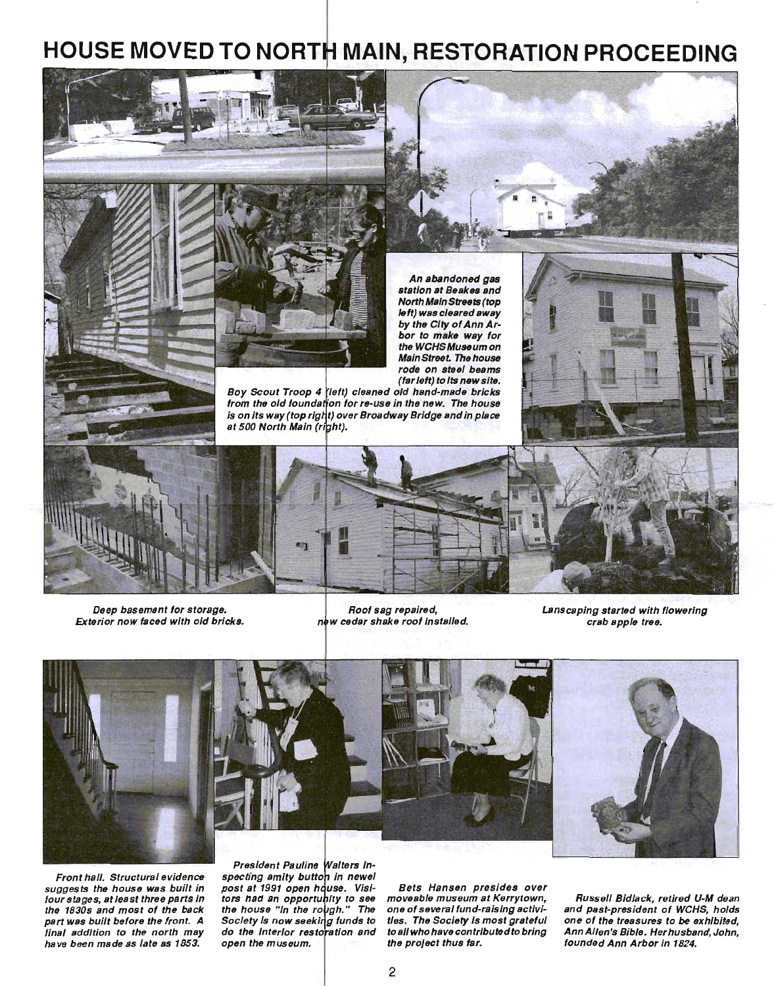# **HOUSE MOVED TO NORT MAIN, RESTORATION PROCEEDING**



Deep basement for storage. Exterior now faced with old bricks.

Roof sag repaired, new cedar shake roof installed.

Lanscaping started with flowering crab apple tree.



Front hall. Structural evidence suggests the house was built in four stages, at least three parts In the 1830s and most of the back part was built before the front. A final addition to the north may have been made as late as 1853.

President Pauline Walters Inspecting amity button in newel post at 1991 open house. Visiors had an opportunity he house "In Society is now seeking funds to do the Interior restoration and

Bets Hansen presides over moveable museum at Kerrytown, one of several fund-raising activities. The Society Is most grateful to all who have contributed to bring the project thus tar. open the museum.  $\blacksquare$  the project thus far.  $\blacksquare$  founded Ann Arbor in 1824.

Russell Bidlack, retired U-M dean and past-president of WCHS, holds one of the treasures to *be* exhibited, Ann Allen's Bible. Herhusband, John,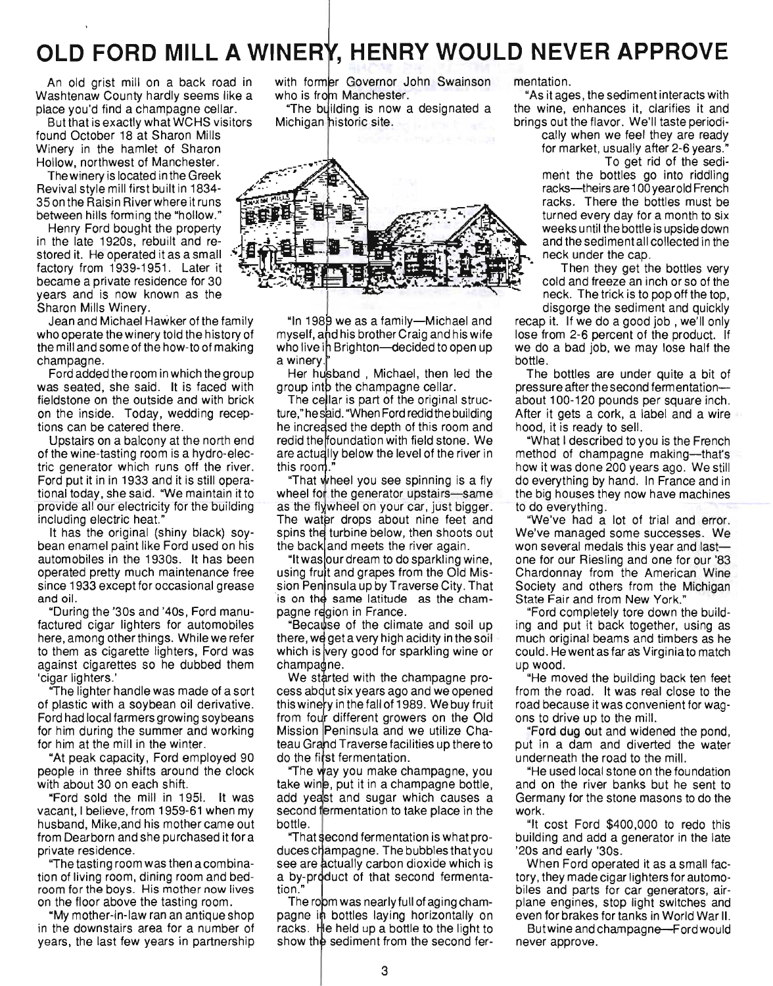# **OLD FORD MILL A WINERY, HENRY WOULD NEVER APPROVE**

An old grist mill on a back road in Washtenaw County hardly seems like a place you'd find a champagne cellar.

But that is exactly what WCHS visitors found October 18 at Sharon Mills Winery in the hamlet of Sharon Hollow, northwest of Manchester.

Thewinery is located in the Greek Revival style mill first built in 1834- 35 on the Raisin Riverwhere it runs between hills forming the "hollow."

Henry Ford bought the property in the late 1920s, rebuilt and restored it. He operated it as a small factory from 1939-1951. Later it became a private residence for 30 years and is now known as the Sharon Mills Winery.

Jean and Michael Hawker ofthe family who operate the winery told the history of the mill and some of the how-to of making champagne.

Ford added the room in which the group was seated, she said. It is faced with fieldstone on the outside and with brick on the inside. Today, wedding receptions can be catered there.

Upstairs on a balcony at the north end of the wine-tasting room is a hydro-electric generator which runs off the river. Ford put it in in 1933 and it is still operational today, she said. "We maintain it to provide all our electricity for the building including electric heat.

It has the original (shiny black) soybean enamel paint like Ford used on his automobiles in the 1930s. It has been operated pretty much maintenance free since 1933 except for occasional grease and oil.

"During the '30s and '40s, Ford manufactured cigar lighters for automobiles here, among other things. While we refer to them as cigarette lighters, Ford was against cigarettes so he dubbed them 'cigar lighters.'

"The lighter handle was made of a sort of plastic with a soybean oil derivative. Ford had local farmers growing soybeans for him during the summer and working for him at the mill in the winter.

"At peak capacity, Ford employed 90 people in three shifts around the clock with about 30 on each shift.

"Ford sold the mill in 1951. It was vacant, I believe, from 1959-61 when my husband, Mike,and his mother came out from Dearborn and she purchased it for a private residence.

"The tasting room was then acombination of living room, dining room and bedroom for the boys. His mother now lives on the floor above the tasting room.

"My mother-in-law ran an antique shop in the downstairs area for a number of years, the last few years in partnership

with former Governor John Swainson who is from Manchester.

"The building is now a designated a Michigan historic site.



"In 1989 we as a family-Michael and myself, and his brother Craig and his wife who live in Brighton-decided to open up a winery.

Her husband, Michael, then led the group into the champagne cellar.

The cellar is part of the original structure," he said. "When Ford redid the building he increased the depth of this room and redid the foundation with field stone. We are actually below the level of the river in this room.

"That wheel you see spinning is a fly wheel for the generator upstairs-same as the flywheel on your car, just bigger. The water drops about nine feet and spins the turbine below, then shoots out the back and meets the river again.

"It was our dream to do sparkling wine, using fruit and grapes from the Old Mission Peninsula up by Traverse City. That is on the same latitude as the champagne region in France.

Because of the climate and soil up there, we get a very high acidity in the soil which is very good for sparkling wine or champagne.

We started with the champagne process about six years ago and we opened his winery in the fall of 1989. We buy fruit rom four different growers on the Old Mission Peninsula and we utilize Chateau Grand Traverse facilities up there to do the first fermentation.

"The way you make champagne, you take wing, put it in a champagne bottle, add yeast and sugar which causes a second fermentation to take place in the bottle.

"That second fermentation is what produces champagne. The bubbles that you see are actually carbon dioxide which is a by-product of that second fermentation."

The room was nearly full of aging champagne in bottles laying horizontally on racks. He held up a bottle to the light to show the sediment from the second fermentation.

"As itages, the sediment interacts with the wine, enhances it, clarifies it and brings out the flavor. We'll taste periodi-

cally when we feel they are ready for market, usually after 2-6 years." To get rid of the sedi-

ment the bottles go into riddling racks---theirs are 100 year old French racks. There the bottles must be turned every day for a month to six weeks until the bottle is upside down and the sediment all collected in the neck under the cap.

Then they get the bottles very cold and freeze an inch or so of the neck. The trick is to pop off the top, disgorge the sediment and quickly

recap it. If we do a good job, we'll only lose from 2-6 percent of the product. If we do a bad job, we may lose half the bottle.

The bottles are under quite a bit of pressure after the second fermentationabout 100-120 pounds per square inch. After it gets a cork, a label and a wire hood, it is ready to sell.

"What I described to you is the French method of champagne making--that's how it was done 200 years ago. We still do everything by hand. In France and in the big houses they now have machines to do everything.

"We've had a lot of trial and error. We've managed some successes. We won several medals this year and lastone for our Riesling and one for our '83 Chardonnay from the American Wine Society and others from the Michigan State Fair and from New York."

"Ford completely tore down the building and put it back together, using as much original beams and timbers as he could. He went as far as Virginia to match up wood.

"He moved the building back ten feet from the road. It was real close to the road because it was convenient for wagons to drive up to the mill.

"Ford dug out and widened the pond, put in a dam and diverted the water underneath the road to the mill.

"He used local stone on the foundation and on the river banks but he sent to Germany for the stone masons to do the work.

"It cost Ford \$400,000 to redo this building and add a generator in the late '20s and early '30s.

When Ford operated it as a small factory, they made cigar lighters for automobiles and parts for car generators, airplane engines, stop light switches and even for brakes for tanks in World War II.

Butwine and champagne-Ford would never approve.